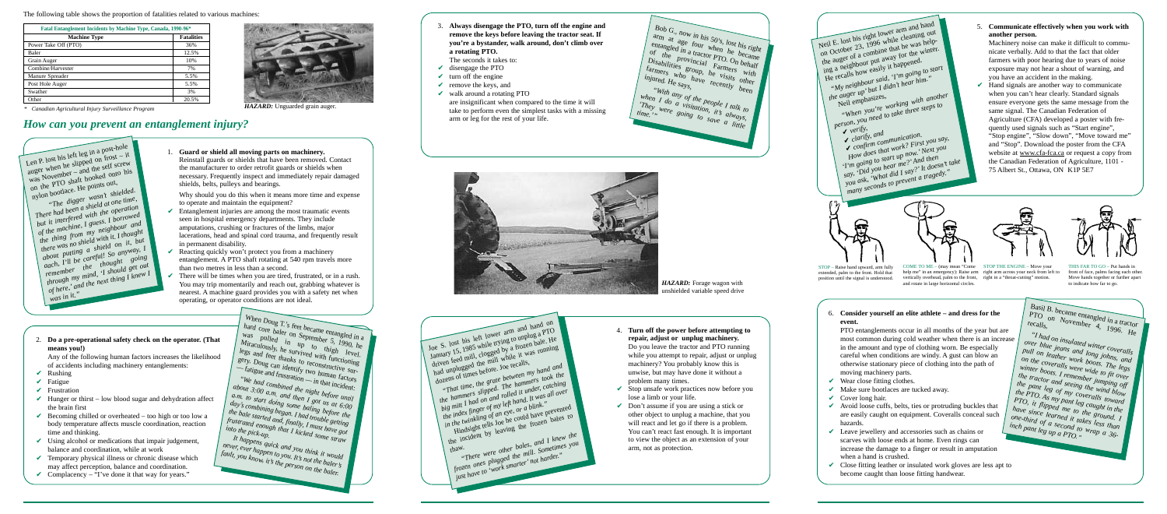The following table shows the proportion of fatalities related to various machines:

*\* Canadian Agricultural Injury Surveillance Program* 

| Fatal Entanglement Incidents by Machine Type, Canada, 1990-96* |                   |  |
|----------------------------------------------------------------|-------------------|--|
| <b>Machine Type</b>                                            | <b>Fatalities</b> |  |
| Power Take Off (PTO)                                           | 36%               |  |
| Baler                                                          | 12.5%             |  |
| Grain Auger                                                    | 10%               |  |
| Combine/Harvester                                              | 7%                |  |
| Manure Spreader                                                | 5.5%              |  |
| Post Hole Auger                                                | 5.5%              |  |
| Swather                                                        | 3%                |  |
| Other                                                          | 20.5%             |  |



*HAZARD:* Unguarded grain auger.

*HAZARD:* Forage wagon with unshielded variable speed drive



Neil E. lost his right lower arm and hand on October 23, 1996 while cleaning out the auger of a combine that he was helpthe august of a complete the way for the winter. He recalls how easily it happened. *"My neighbour said, 'I'm going to start*<br>*the auger up' but I didn't hear him."*<br>Neil emphasizes,  $t^{\mu}$ <sup>*w*</sup> *the auger up*<sup>'</sup> *but I didn't hear him.*<sup>"</sup> Neil emphasizes, *"When you're working with another person, you need to take three steps to person, you need to take three steps to* ✔ *verify,* ✔ *clarify, and* ✔ *confirm communication.*

*Longuin communication.*<br>How does that work? First you say, *I'm going to start up now.*<sup>*Next you*</sup> *say, College which the new read 3 say, 'Did you hear me?'* And then *you ask, 'What did I say?' It doesn't take run disconds to prevent a tragedy."* 







 $\left( \begin{array}{l} \textit{Bob G., now in his 50's, lost his right} \end{array} \right)$  $\lim_{x \to 0}$  at age four when he became entangled in a tractor PTO. On behalf of the provincial  $F_{\text{armers}}$  with  $\int$  Disabilities group, he visits other  $f_{\text{armers}}^{f_{\text{armers}}}$  who have  $f_{\text{recently}}^{f_{\text{armers}}}$  with  $f_{\text{rtsity}}^{f_{\text{armers}}}$  and  $f_{\text{rtsity}}^{f_{\text{armers}}}$  and  $f_{\text{rtsity}}^{f_{\text{armers}}}$  and  $f_{\text{rtsity}}^{f_{\text{armers}}}$ *"With any of the people I talk to when I* do a visitation, it's talk to<br> *They were going to save always*, They were going to save a little

- $\triangleright$  Entanglement injuries are among the most traumatic events seen in hospital emergency departments. They include amputations, crushing or fractures of the limbs, major lacerations, head and spinal cord trauma, and frequently result in permanent disability.
- $\triangleright$  Reacting quickly won't protect you from a machinery entanglement. A PTO shaft rotating at 540 rpm travels more than two metres in less than a second.
- $\triangleright$  There will be times when you are tired, frustrated, or in a rush. You may trip momentarily and reach out, grabbing whatever is nearest. A machine guard provides you with a safety net when operating, or operator conditions are not ideal.

When Doug T's feet became entangled in a  $\rightarrow$ hard core baler on September 5, 1990, he Was pulled in up to thigh level. Miraculously, he survived with functioning legs and feet thanks to reconstructive surgery. Doug can identify two human factors  $\sum_{i=1}^{S_{i,j}}$ ,  $\sum_{j=1}^{S_{i,j}}$   $\sum_{j=1}^{S_{i,j}}$   $\sum_{i=1}^{S_{i,j}}$   $\sum_{j=1}^{S_{i,j}}$   $\sum_{j=1}^{S_{i,j}}$   $\sum_{j=1}^{S_{i,j}}$   $\sum_{j=1}^{S_{i,j}}$   $\sum_{j=1}^{S_{i,j}}$ *"We had combined the night before until re nua compmea me mgm vejore man*<br>about 3:00 a.m. and then I got us at 6:00 a.m. to start doing some baling before the day's combining began. I had trouble getting *the bale started and, finally, I must have got frustrated enough that I kicked some straw into the pick-up. It happens quick and you think it would*

## *How can you prevent an entanglement injury?*

1. **Guard or shield all moving parts on machinery.** Reinstall guards or shields that have been removed. Contact the manufacturer to order retrofit guards or shields when necessary. Frequently inspect and immediately repair damaged shields, belts, pulleys and bearings.

Why should you do this when it means more time and expense to operate and maintain the equipment?

#### 2. **Do a pre-operational safety check on the operator. (That means you!)**

Any of the following human factors increases the likelihood of accidents including machinery entanglements:

- $\vee$  Rushing
- $\vee$  Fatigue
- $\vee$  Frustration
- $\blacktriangleright$  Hunger or thirst low blood sugar and dehydration affect the brain first
- $\triangleright$  Becoming chilled or overheated too high or too low a body temperature affects muscle coordination, reaction time and thinking.
- $\checkmark$  Using alcohol or medications that impair judgement, balance and coordination, while at work
- $\checkmark$  Temporary physical illness or chronic disease which may affect perception, balance and coordination.
- $\vee$  Complacency "I've done it that way for years."
- $\vee$  Wear close fitting clothes.
- $\blacktriangleright$  Make sure bootlaces are tucked away.
- $\vee$  Cover long hair.
- $\checkmark$  Avoid loose cuffs, belts, ties or protruding buckles that are easily caught on equipment. Coveralls conceal such hazards.
- $\vee$  Leave jewellery and accessories such as chains or scarves with loose ends at home. Even rings can increase the damage to a finger or result in amputation when a hand is crushed.
- $\vee$  Close fitting leather or insulated work gloves are less apt to become caught than loose fitting handwear.

Basil B. became entangled in a tractor<br>PTO on November 4, 1906  $\begin{pmatrix} \textbf{b}_{a_{\text{S}}}_{11} & \textbf{b}_{12} & \textbf{c}_{11} & \textbf{c}_{11} & \textbf{c}_{12} \\ \textbf{P} & \textbf{P} & \textbf{P} & \textbf{P} & \textbf{P} \end{pmatrix}$  Movember 4, 1996. He *"I had on insulated winter coveralls over blue jeans and long johns, and* pull on leather work boots. The legs *on the coveralls were wide to fit over winter boots. I remember jumping off the tractor and seeing the wind blow the tructor and seems the wave born*<br>the pant leg of my coveralls toward *the PTO. As my pant leg caught in the PTO, it flipped me to the ground. I*<br>*have since learned it takes less than*<br>*inch pant leg up a PTO* "<br>*inch pant leg up a PTO*" *have since learned it takes less than one-third of a second to wrap a 36- inch pant leg up a PTO."*

*never, ever happen to you. It's not the baler's fault, you know, it's the person on the baler.*

- 3. **Always disengage the PTO, turn off the engine and remove the keys before leaving the tractor seat. If you're a bystander, walk around, don't climb over a rotating PTO.**
- The seconds it takes to:
- $\vee$  disengage the PTO
- $\mathcal V$  turn off the engine
- $\mathbf{\nabla}$  remove the keys, and
- $\vee$  walk around a rotating PTO are insignificant when compared to the time it will take to perform even the simplest tasks with a missing arm or leg for the rest of your life.



- 4. **Turn off the power before attempting to repair, adjust or unplug machinery.** Do you leave the tractor and PTO running while you attempt to repair, adjust or unplug machinery? You probably know this is unwise, but may have done it without a problem many times.
- $\checkmark$  Stop unsafe work practices now before you lose a limb or your life.
- $\vee$  Don't assume if you are using a stick or other object to unplug a machine, that you will react and let go if there is a problem. You can't react fast enough. It is important to view the object as an extension of your arm, not as protection.

5. **Communicate effectively when you work with**

**another person.** 

Machinery noise can make it difficult to communicate verbally. Add to that the fact that older farmers with poor hearing due to years of noise exposure may not hear a shout of warning, and

you have an accident in the making.  $\blacktriangleright$  Hand signals are another way to communicate when you can't hear clearly. Standard signals ensure everyone gets the same message from the

same signal. The Canadian Federation of Agriculture (CFA) developed a poster with frequently used signals such as "Start engine", "Stop engine", "Slow down", "Move toward me" and "Stop". Download the poster from the CFA website at www.cfa-fca.ca or request a copy from the Canadian Federation of Agriculture, 1101 -

75 Albert St., Ottawa, ON K1P 5E7

6. **Consider yourself an elite athlete – and dress for the event.**

PTO entanglements occur in all months of the year but are most common during cold weather when there is an increase in the amount and type of clothing worn. Be especially careful when conditions are windy. A gust can blow an otherwise stationary piece of clothing into the path of moving machinery parts.

COME TO ME – (may mean "Come STOP THE ENGINE – Move your vertically overhead, palm to the front, right in a "throat-cutting" motion. and rotate in large horizontal circles.

help me" in an emergency): Raise arm right arm across your neck from left to

STOP – Raise hand upward, arm fully extended, palm to the front. Hold that position until the signal is understood.

THIS FAR TO GO – Put hands in front of face, palms facing each other. Move hands together or further apart to indicate how far to go.